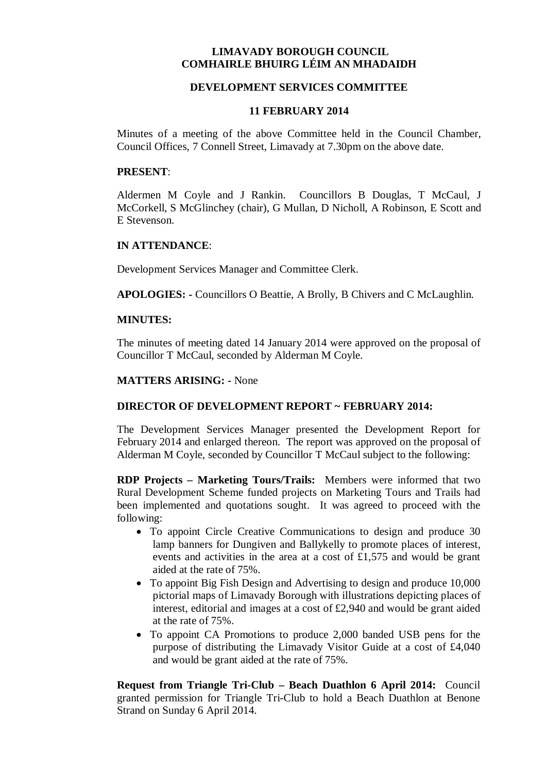# **LIMAVADY BOROUGH COUNCIL COMHAIRLE BHUIRG LÉIM AN MHADAIDH**

# **DEVELOPMENT SERVICES COMMITTEE**

#### **11 FEBRUARY 2014**

Minutes of a meeting of the above Committee held in the Council Chamber, Council Offices, 7 Connell Street, Limavady at 7.30pm on the above date.

#### **PRESENT**:

Aldermen M Coyle and J Rankin. Councillors B Douglas, T McCaul, J McCorkell, S McGlinchey (chair), G Mullan, D Nicholl, A Robinson, E Scott and E Stevenson.

### **IN ATTENDANCE**:

Development Services Manager and Committee Clerk.

**APOLOGIES: -** Councillors O Beattie, A Brolly, B Chivers and C McLaughlin.

### **MINUTES:**

The minutes of meeting dated 14 January 2014 were approved on the proposal of Councillor T McCaul, seconded by Alderman M Coyle.

### **MATTERS ARISING: -** None

# **DIRECTOR OF DEVELOPMENT REPORT ~ FEBRUARY 2014:**

The Development Services Manager presented the Development Report for February 2014 and enlarged thereon. The report was approved on the proposal of Alderman M Coyle, seconded by Councillor T McCaul subject to the following:

**RDP Projects – Marketing Tours/Trails:** Members were informed that two Rural Development Scheme funded projects on Marketing Tours and Trails had been implemented and quotations sought. It was agreed to proceed with the following:

- To appoint Circle Creative Communications to design and produce 30 lamp banners for Dungiven and Ballykelly to promote places of interest, events and activities in the area at a cost of £1,575 and would be grant aided at the rate of 75%.
- To appoint Big Fish Design and Advertising to design and produce 10,000 pictorial maps of Limavady Borough with illustrations depicting places of interest, editorial and images at a cost of £2,940 and would be grant aided at the rate of 75%.
- To appoint CA Promotions to produce 2,000 banded USB pens for the purpose of distributing the Limavady Visitor Guide at a cost of £4,040 and would be grant aided at the rate of 75%.

**Request from Triangle Tri-Club – Beach Duathlon 6 April 2014:** Council granted permission for Triangle Tri-Club to hold a Beach Duathlon at Benone Strand on Sunday 6 April 2014.